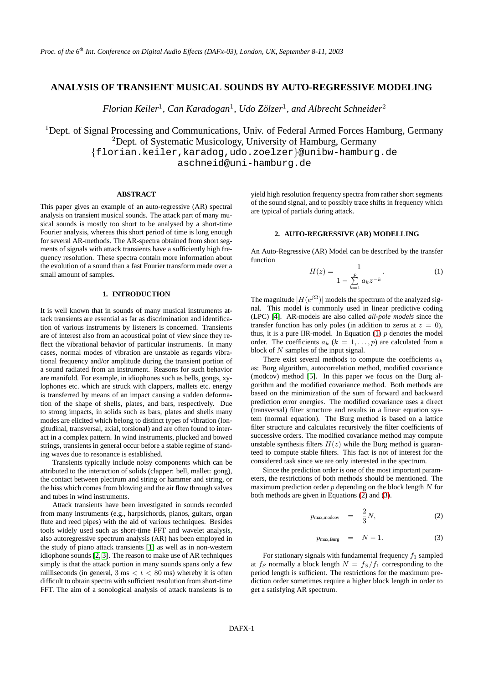# **ANALYSIS OF TRANSIENT MUSICAL SOUNDS BY AUTO-REGRESSIVE MODELING**

*Florian Keiler*<sup>1</sup> *, Can Karadogan*<sup>1</sup> *, Udo Zolzer ¨* 1 *, and Albrecht Schneider*<sup>2</sup>

<sup>1</sup>Dept. of Signal Processing and Communications, Univ. of Federal Armed Forces Hamburg, Germany <sup>2</sup>Dept. of Systematic Musicology, University of Hamburg, Germany

{florian.keiler,karadog,udo.zoelzer}@unibw-hamburg.de

aschneid@uni-hamburg.de

## **ABSTRACT**

This paper gives an example of an auto-regressive (AR) spectral analysis on transient musical sounds. The attack part of many musical sounds is mostly too short to be analysed by a short-time Fourier analysis, whereas this short period of time is long enough for several AR-methods. The AR-spectra obtained from short segments of signals with attack transients have a sufficiently high frequency resolution. These spectra contain more information about the evolution of a sound than a fast Fourier transform made over a small amount of samples.

## **1. INTRODUCTION**

It is well known that in sounds of many musical instruments attack transients are essential as far as discrimination and identification of various instruments by listeners is concerned. Transients are of interest also from an acoustical point of view since they reflect the vibrational behavior of particular instruments. In many cases, normal modes of vibration are unstable as regards vibrational frequency and/or amplitude during the transient portion of a sound radiated from an instrument. Reasons for such behavior are manifold. For example, in idiophones such as bells, gongs, xylophones etc. which are struck with clappers, mallets etc. energy is transferred by means of an impact causing a sudden deformation of the shape of shells, plates, and bars, respectively. Due to strong impacts, in solids such as bars, plates and shells many modes are elicited which belong to distinct types of vibration (longitudinal, transversal, axial, torsional) and are often found to interact in a complex pattern. In wind instruments, plucked and bowed strings, transients in general occur before a stable regime of standing waves due to resonance is established.

Transients typically include noisy components which can be attributed to the interaction of solids (clapper: bell, mallet: gong), the contact between plectrum and string or hammer and string, or the hiss which comes from blowing and the air flow through valves and tubes in wind instruments.

Attack transients have been investigated in sounds recorded from many instruments (e.g., harpsichords, pianos, guitars, organ flute and reed pipes) with the aid of various techniques. Besides tools widely used such as short-time FFT and wavelet analysis, also autoregressive spectrum analysis (AR) has been employed in the study of piano attack transients [\[1\]](#page-3-0) as well as in non-western idiophone sounds [\[2,](#page-3-1) [3\]](#page-3-2). The reason to make use of AR techniques simply is that the attack portion in many sounds spans only a few milliseconds (in general,  $3 \text{ ms} < t < 80 \text{ ms}$ ) whereby it is often difficult to obtain spectra with sufficient resolution from short-time FFT. The aim of a sonological analysis of attack transients is to yield high resolution frequency spectra from rather short segments of the sound signal, and to possibly trace shifts in frequency which are typical of partials during attack.

### **2. AUTO-REGRESSIVE (AR) MODELLING**

<span id="page-0-0"></span>An Auto-Regressive (AR) Model can be described by the transfer function

$$
H(z) = \frac{1}{1 - \sum_{k=1}^{p} a_k z^{-k}}.
$$
 (1)

The magnitude  $|H(e^{j\Omega})|$  models the spectrum of the analyzed signal. This model is commonly used in linear predictive coding (LPC) [\[4\]](#page-3-3). AR-models are also called *all-pole models* since the transfer function has only poles (in addition to zeros at  $z = 0$ ), thus, it is a pure IIR-model. In Equation [\(1\)](#page-0-0)  $p$  denotes the model order. The coefficients  $a_k$  ( $k = 1, \ldots, p$ ) are calculated from a block of  $N$  samples of the input signal.

There exist several methods to compute the coefficients  $a_k$ as: Burg algorithm, autocorrelation method, modified covariance (modcov) method [\[5\]](#page-3-4). In this paper we focus on the Burg algorithm and the modified covariance method. Both methods are based on the minimization of the sum of forward and backward prediction error energies. The modified covariance uses a direct (transversal) filter structure and results in a linear equation system (normal equation). The Burg method is based on a lattice filter structure and calculates recursively the filter coefficients of successive orders. The modified covariance method may compute unstable synthesis filters  $H(z)$  while the Burg method is guaranteed to compute stable filters. This fact is not of interest for the considered task since we are only interested in the spectrum.

Since the prediction order is one of the most important parameters, the restrictions of both methods should be mentioned. The maximum prediction order  $p$  depending on the block length  $N$  for both methods are given in Equations [\(2\)](#page-0-1) and [\(3\)](#page-0-1).

$$
p_{\max,\text{modcov}} = \frac{2}{3}N,\tag{2}
$$

$$
p_{\max,\text{Burg}} = N - 1. \tag{3}
$$

<span id="page-0-1"></span>For stationary signals with fundamental frequency  $f_1$  sampled at  $f_S$  normally a block length  $N = f_S/f_1$  corresponding to the period length is sufficient. The restrictions for the maximum prediction order sometimes require a higher block length in order to get a satisfying AR spectrum.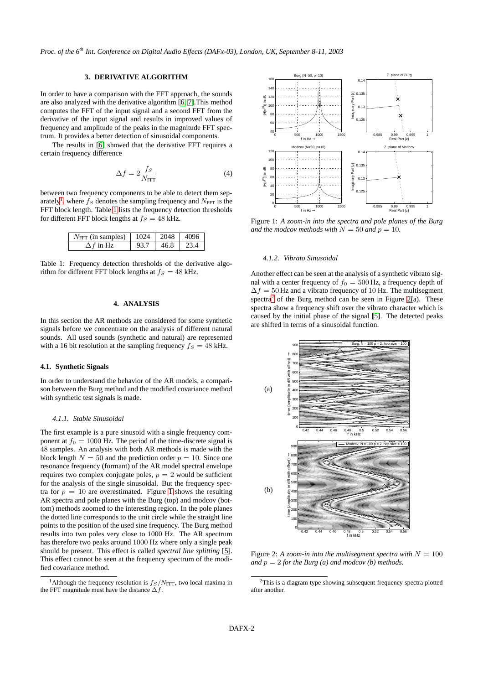*Proc. of the 6 th Int. Conference on Digital Audio Effects (DAFx-03), London, UK, September 8-11, 2003*

## **3. DERIVATIVE ALGORITHM**

In order to have a comparison with the FFT approach, the sounds are also analyzed with the derivative algorithm [\[6,](#page-3-5) [7\]](#page-3-6).This method computes the FFT of the input signal and a second FFT from the derivative of the input signal and results in improved values of frequency and amplitude of the peaks in the magnitude FFT spectrum. It provides a better detection of sinusoidal components.

The results in [\[6\]](#page-3-5) showed that the derivative FFT requires a certain frequency difference

$$
\Delta f = 2 \frac{fs}{N_{\text{FFT}}} \tag{4}
$$

between two frequency components to be able to detect them sep-arately<sup>[1](#page-1-0)</sup>, where  $f_S$  denotes the sampling frequency and  $N_{\text{FFT}}$  is the FFT block length. Table [1](#page-1-1) lists the frequency detection thresholds for different FFT block lengths at  $f<sub>S</sub> = 48$  kHz.

| $N_{\text{FFT}}$ (in samples)   1024   2048   4096 |      |                      |  |
|----------------------------------------------------|------|----------------------|--|
| $\Delta f$ in Hz.                                  | 93.7 | $146.8$ $\sqrt{234}$ |  |

<span id="page-1-1"></span>Table 1: Frequency detection thresholds of the derivative algorithm for different FFT block lengths at  $f<sub>S</sub> = 48$  kHz.

## **4. ANALYSIS**

In this section the AR methods are considered for some synthetic signals before we concentrate on the analysis of different natural sounds. All used sounds (synthetic and natural) are represented with a 16 bit resolution at the sampling frequency  $f<sub>S</sub> = 48$  kHz.

### **4.1. Synthetic Signals**

In order to understand the behavior of the AR models, a comparison between the Burg method and the modified covariance method with synthetic test signals is made.

#### *4.1.1. Stable Sinusoidal*

The first example is a pure sinusoid with a single frequency component at  $f_0 = 1000$  Hz. The period of the time-discrete signal is 48 samples. An analysis with both AR methods is made with the block length  $N = 50$  and the prediction order  $p = 10$ . Since one resonance frequency (formant) of the AR model spectral envelope requires two complex conjugate poles,  $p = 2$  would be sufficient for the analysis of the single sinusoidal. But the frequency spectra for  $p = 10$  $p = 10$  $p = 10$  are overestimated. Figure 1 shows the resulting AR spectra and pole planes with the Burg (top) and modcov (bottom) methods zoomed to the interesting region. In the pole planes the dotted line corresponds to the unit circle while the straight line points to the position of the used sine frequency. The Burg method results into two poles very close to 1000 Hz. The AR spectrum has therefore two peaks around 1000 Hz where only a single peak should be present. This effect is called *spectral line splitting* [\[5\]](#page-3-4). This effect cannot be seen at the frequency spectrum of the modified covariance method.



<span id="page-1-2"></span>Figure 1: *A zoom-in into the spectra and pole planes of the Burg and the modcov methods with*  $N = 50$  *and*  $p = 10$ *.* 

## *4.1.2. Vibrato Sinusoidal*

Another effect can be seen at the analysis of a synthetic vibrato signal with a center frequency of  $f_0 = 500$  Hz, a frequency depth of  $\Delta f = 50$  Hz and a vibrato frequency of 10 Hz. The multisegment spectra<sup>[2](#page-1-3)</sup> of the Burg method can be seen in Figure [2\(](#page-1-4)a). These spectra show a frequency shift over the vibrato character which is caused by the initial phase of the signal [\[5\]](#page-3-4). The detected peaks are shifted in terms of a sinusoidal function.



<span id="page-1-4"></span>Figure 2: A *zoom-in into the multisegment spectra with*  $N = 100$ *and*  $p = 2$  *for the Burg (a) and modcov (b) methods.* 

<span id="page-1-0"></span><sup>&</sup>lt;sup>1</sup>Although the frequency resolution is  $f_S/N_{\text{FFT}}$ , two local maxima in the FFT magnitude must have the distance  $\Delta f$ .

<span id="page-1-3"></span><sup>&</sup>lt;sup>2</sup>This is a diagram type showing subsequent frequency spectra plotted after another.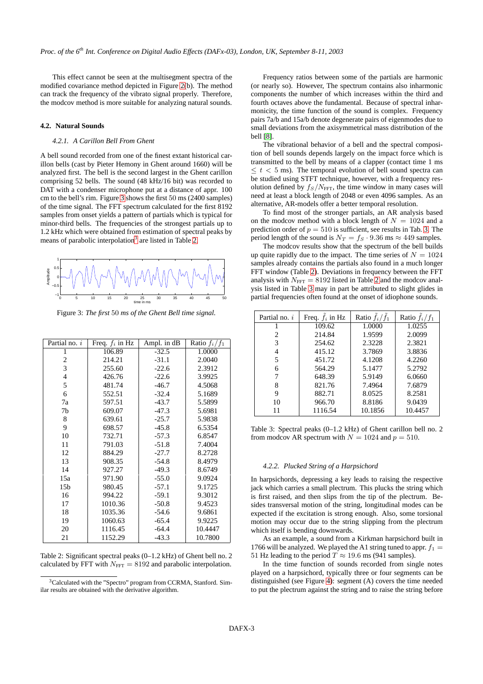This effect cannot be seen at the multisegment spectra of the modified covariance method depicted in Figure [2\(](#page-1-4)b). The method can track the frequency of the vibrato signal properly. Therefore, the modcov method is more suitable for analyzing natural sounds.

### **4.2. Natural Sounds**

### *4.2.1. A Carillon Bell From Ghent*

A bell sound recorded from one of the finest extant historical carillon bells (cast by Pieter Hemony in Ghent around 1660) will be analyzed first. The bell is the second largest in the Ghent carillon comprising 52 bells. The sound (48 kHz/16 bit) was recorded to DAT with a condenser microphone put at a distance of appr. 100 cm to the bell's rim. Figure [3](#page-2-0) shows the first 50 ms (2400 samples) of the time signal. The FFT spectrum calculated for the first 8192 samples from onset yields a pattern of partials which is typical for minor-third bells. The frequencies of the strongest partials up to 1.2 kHz which were obtained from estimation of spectral peaks by means of parabolic interpolation<sup>[3](#page-2-1)</sup> are listed in Table [2.](#page-2-2)



Figure 3: *The first* 50 *ms of the Ghent Bell time signal.*

<span id="page-2-0"></span>

| Partial no. $i$ | Freq. $f_i$ in Hz | Ampl. in dB | Ratio $f_i/f_1$ |
|-----------------|-------------------|-------------|-----------------|
| 1               | 106.89            | $-32.5$     | 1.0000          |
| $\overline{c}$  | 214.21            | $-31.1$     | 2.0040          |
| 3               | 255.60            | $-22.6$     | 2.3912          |
| $\overline{4}$  | 426.76            | $-22.6$     | 3.9925          |
| 5               | 481.74            | $-46.7$     | 4.5068          |
| 6               | 552.51            | $-32.4$     | 5.1689          |
| 7a              | 597.51            | $-43.7$     | 5.5899          |
| 7b              | 609.07            | $-47.3$     | 5.6981          |
| 8               | 639.61            | $-25.7$     | 5.9838          |
| 9               | 698.57            | $-45.8$     | 6.5354          |
| 10              | 732.71            | $-57.3$     | 6.8547          |
| 11              | 791.03            | $-51.8$     | 7.4004          |
| 12              | 884.29            | $-27.7$     | 8.2728          |
| 13              | 908.35            | $-54.8$     | 8.4979          |
| 14              | 927.27            | $-49.3$     | 8.6749          |
| 15a             | 971.90            | $-55.0$     | 9.0924          |
| 15 <sub>b</sub> | 980.45            | $-57.1$     | 9.1725          |
| 16              | 994.22            | $-59.1$     | 9.3012          |
| 17              | 1010.36           | $-50.8$     | 9.4523          |
| 18              | 1035.36           | $-54.6$     | 9.6861          |
| 19              | 1060.63           | $-65.4$     | 9.9225          |
| 20              | 1116.45           | $-64.4$     | 10.4447         |
| 21              | 1152.29           | $-43.3$     | 10.7800         |

<span id="page-2-2"></span>Table 2: Significant spectral peaks (0–1.2 kHz) of Ghent bell no. 2 calculated by FFT with  $N_{\text{FFT}} = 8192$  and parabolic interpolation.

Frequency ratios between some of the partials are harmonic (or nearly so). However, The spectrum contains also inharmonic components the number of which increases within the third and fourth octaves above the fundamental. Because of spectral inharmonicity, the time function of the sound is complex. Frequency pairs 7a/b and 15a/b denote degenerate pairs of eigenmodes due to small deviations from the axisymmetrical mass distribution of the bell [\[8\]](#page-3-7).

The vibrational behavior of a bell and the spectral composition of bell sounds depends largely on the impact force which is transmitted to the bell by means of a clapper (contact time 1 ms  $\leq t < 5$  ms). The temporal evolution of bell sound spectra can be studied using STFT technique, however, with a frequency resolution defined by  $f_S/N_{\text{FFT}}$ , the time window in many cases will need at least a block length of 2048 or even 4096 samples. As an alternative, AR-models offer a better temporal resolution.

To find most of the stronger partials, an AR analysis based on the modcov method with a block length of  $N = 1024$  and a prediction order of  $p = 510$  is sufficient, see results in Tab. [3.](#page-2-3) The period length of the sound is  $N_T = f_S \cdot 9.36$  ms  $\approx 449$  samples.

The modcov results show that the spectrum of the bell builds up quite rapidly due to the impact. The time series of  $N = 1024$ samples already contains the partials also found in a much longer FFT window (Table [2\)](#page-2-2). Deviations in frequency between the FFT analysis with  $N_{\text{FFT}} = 8192$  $N_{\text{FFT}} = 8192$  listed in Table 2 and the modcov analysis listed in Table [3](#page-2-3) may in part be attributed to slight glides in partial frequencies often found at the onset of idiophone sounds.

| Partial no. i          | Freq. $f_i$ in Hz | Ratio $f_i/\tilde{f}_1$ | Ratio $f_i/f_1$ |
|------------------------|-------------------|-------------------------|-----------------|
|                        | 109.62            | 1.0000                  | 1.0255          |
| $\mathfrak{D}_{\cdot}$ | 214.84            | 1.9599                  | 2.0099          |
| 3                      | 254.62            | 2.3228                  | 2.3821          |
|                        | 415.12            | 3.7869                  | 3.8836          |
| 5                      | 451.72            | 4.1208                  | 4.2260          |
| 6                      | 564.29            | 5.1477                  | 5.2792          |
|                        | 648.39            | 5.9149                  | 6.0660          |
|                        | 821.76            | 7.4964                  | 7.6879          |
| 9                      | 882.71            | 8.0525                  | 8.2581          |
| 10                     | 966.70            | 8.8186                  | 9.0439          |
|                        | 1116.54           | 10.1856                 | 10.4457         |

<span id="page-2-3"></span>Table 3: Spectral peaks (0–1.2 kHz) of Ghent carillon bell no. 2 from modcov AR spectrum with  $N = 1024$  and  $p = 510$ .

## *4.2.2. Plucked String of a Harpsichord*

In harpsichords, depressing a key leads to raising the respective jack which carries a small plectrum. This plucks the string which is first raised, and then slips from the tip of the plectrum. Besides transversal motion of the string, longitudinal modes can be expected if the excitation is strong enough. Also, some torsional motion may occur due to the string slipping from the plectrum which itself is bending downwards.

As an example, a sound from a Kirkman harpsichord built in 1766 will be analyzed. We played the A1 string tuned to appr.  $f_1 =$ 51 Hz leading to the period  $T \approx 19.6$  ms (941 samples).

In the time function of sounds recorded from single notes played on a harpsichord, typically three or four segments can be distinguished (see Figure [4\)](#page-3-8): segment (A) covers the time needed to put the plectrum against the string and to raise the string before

<span id="page-2-1"></span><sup>3</sup>Calculated with the "Spectro" program from CCRMA, Stanford. Similar results are obtained with the derivative algorithm.